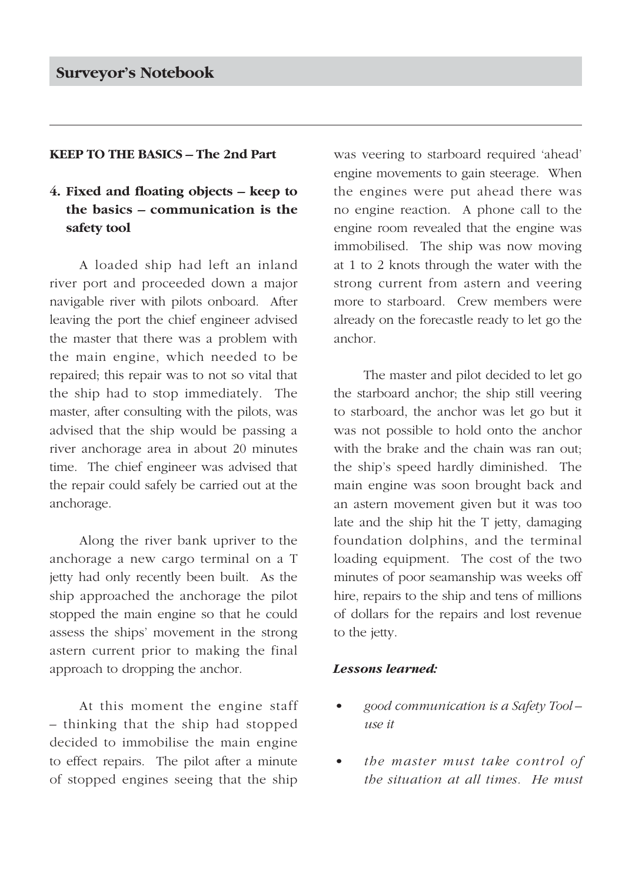#### **KEEP TO THE BASICS – The 2nd Part**

# **4. Fixed and floating objects – keep to the basics – communication is the safety tool**

A loaded ship had left an inland river port and proceeded down a major navigable river with pilots onboard. After leaving the port the chief engineer advised the master that there was a problem with the main engine, which needed to be repaired; this repair was to not so vital that the ship had to stop immediately. The master, after consulting with the pilots, was advised that the ship would be passing a river anchorage area in about 20 minutes time. The chief engineer was advised that the repair could safely be carried out at the anchorage.

Along the river bank upriver to the anchorage a new cargo terminal on a T jetty had only recently been built. As the ship approached the anchorage the pilot stopped the main engine so that he could assess the ships' movement in the strong astern current prior to making the final approach to dropping the anchor.

At this moment the engine staff – thinking that the ship had stopped decided to immobilise the main engine to effect repairs. The pilot after a minute of stopped engines seeing that the ship was veering to starboard required 'ahead' engine movements to gain steerage. When the engines were put ahead there was no engine reaction. A phone call to the engine room revealed that the engine was immobilised. The ship was now moving at 1 to 2 knots through the water with the strong current from astern and veering more to starboard. Crew members were already on the forecastle ready to let go the anchor.

The master and pilot decided to let go the starboard anchor; the ship still veering to starboard, the anchor was let go but it was not possible to hold onto the anchor with the brake and the chain was ran out; the ship's speed hardly diminished. The main engine was soon brought back and an astern movement given but it was too late and the ship hit the T jetty, damaging foundation dolphins, and the terminal loading equipment. The cost of the two minutes of poor seamanship was weeks off hire, repairs to the ship and tens of millions of dollars for the repairs and lost revenue to the jetty.

### *Lessons learned:*

- *good communication is a Safety Tool use it*
- *the master must take control of the situation at all times. He must*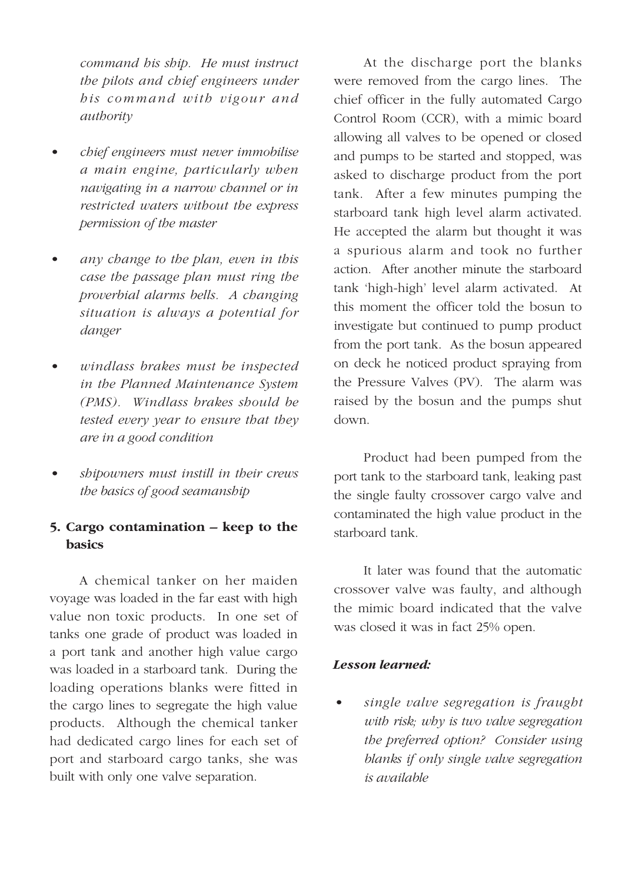*command his ship. He must instruct the pilots and chief engineers under his command with vigour and authority*

- *chief engineers must never immobilise a main engine, particularly when navigating in a narrow channel or in restricted waters without the express permission of the master*
- *any change to the plan, even in this case the passage plan must ring the proverbial alarms bells. A changing situation is always a potential for danger*
- *windlass brakes must be inspected in the Planned Maintenance System (PMS). Windlass brakes should be tested every year to ensure that they are in a good condition*
- *shipowners must instill in their crews the basics of good seamanship*

## **5. Cargo contamination – keep to the basics**

A chemical tanker on her maiden voyage was loaded in the far east with high value non toxic products. In one set of tanks one grade of product was loaded in a port tank and another high value cargo was loaded in a starboard tank. During the loading operations blanks were fitted in the cargo lines to segregate the high value products. Although the chemical tanker had dedicated cargo lines for each set of port and starboard cargo tanks, she was built with only one valve separation.

At the discharge port the blanks were removed from the cargo lines. The chief officer in the fully automated Cargo Control Room (CCR), with a mimic board allowing all valves to be opened or closed and pumps to be started and stopped, was asked to discharge product from the port tank. After a few minutes pumping the starboard tank high level alarm activated. He accepted the alarm but thought it was a spurious alarm and took no further action. After another minute the starboard tank 'high-high' level alarm activated. At this moment the officer told the bosun to investigate but continued to pump product from the port tank. As the bosun appeared on deck he noticed product spraying from the Pressure Valves (PV). The alarm was raised by the bosun and the pumps shut down.

Product had been pumped from the port tank to the starboard tank, leaking past the single faulty crossover cargo valve and contaminated the high value product in the starboard tank.

It later was found that the automatic crossover valve was faulty, and although the mimic board indicated that the valve was closed it was in fact 25% open.

### *Lesson learned:*

*• single valve segregation is fraught with risk; why is two valve segregation the preferred option? Consider using blanks if only single valve segregation is available*